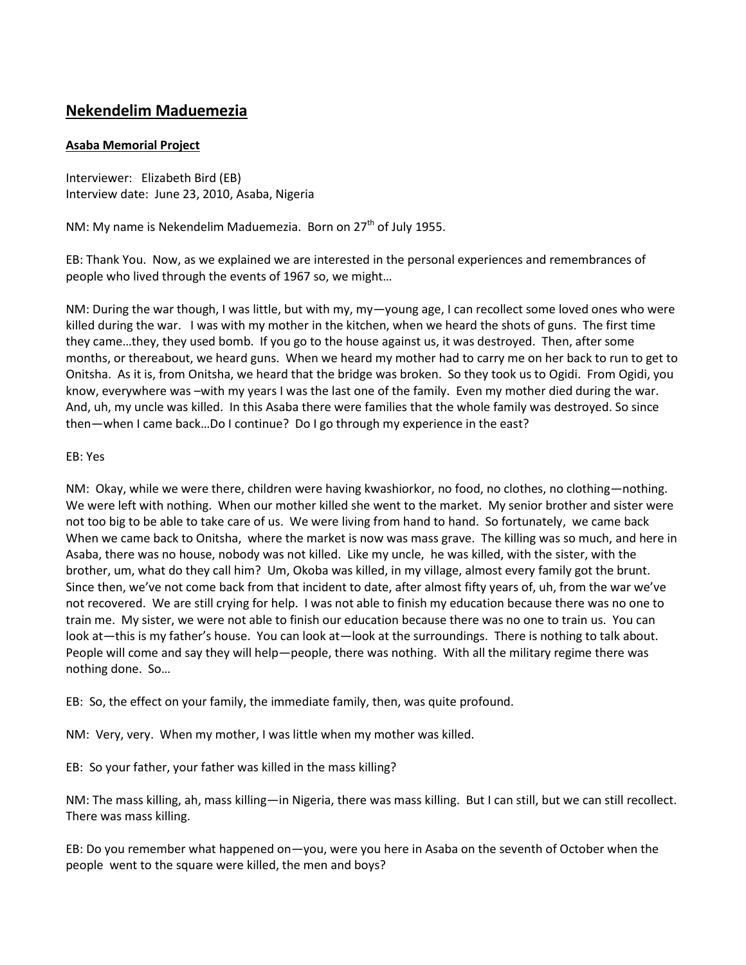## **Nekendelim Maduemezia**

## **Asaba Memorial Project**

Interviewer: Elizabeth Bird (EB) Interview date: June 23, 2010, Asaba, Nigeria

NM: My name is Nekendelim Maduemezia. Born on  $27<sup>th</sup>$  of July 1955.

EB: Thank You. Now, as we explained we are interested in the personal experiences and remembrances of people who lived through the events of 1967 so, we might…

NM: During the war though, I was little, but with my, my—young age, I can recollect some loved ones who were killed during the war. I was with my mother in the kitchen, when we heard the shots of guns. The first time they came…they, they used bomb. If you go to the house against us, it was destroyed. Then, after some months, or thereabout, we heard guns. When we heard my mother had to carry me on her back to run to get to Onitsha. As it is, from Onitsha, we heard that the bridge was broken. So they took us to Ogidi. From Ogidi, you know, everywhere was –with my years I was the last one of the family. Even my mother died during the war. And, uh, my uncle was killed. In this Asaba there were families that the whole family was destroyed. So since then—when I came back…Do I continue? Do I go through my experience in the east?

## EB: Yes

NM: Okay, while we were there, children were having kwashiorkor, no food, no clothes, no clothing—nothing. We were left with nothing. When our mother killed she went to the market. My senior brother and sister were not too big to be able to take care of us. We were living from hand to hand. So fortunately, we came back When we came back to Onitsha, where the market is now was mass grave. The killing was so much, and here in Asaba, there was no house, nobody was not killed. Like my uncle, he was killed, with the sister, with the brother, um, what do they call him? Um, Okoba was killed, in my village, almost every family got the brunt. Since then, we've not come back from that incident to date, after almost fifty years of, uh, from the war we've not recovered. We are still crying for help. I was not able to finish my education because there was no one to train me. My sister, we were not able to finish our education because there was no one to train us. You can look at—this is my father's house. You can look at—look at the surroundings. There is nothing to talk about. People will come and say they will help—people, there was nothing. With all the military regime there was nothing done. So…

EB: So, the effect on your family, the immediate family, then, was quite profound.

NM: Very, very. When my mother, I was little when my mother was killed.

EB: So your father, your father was killed in the mass killing?

NM: The mass killing, ah, mass killing—in Nigeria, there was mass killing. But I can still, but we can still recollect. There was mass killing.

EB: Do you remember what happened on—you, were you here in Asaba on the seventh of October when the people went to the square were killed, the men and boys?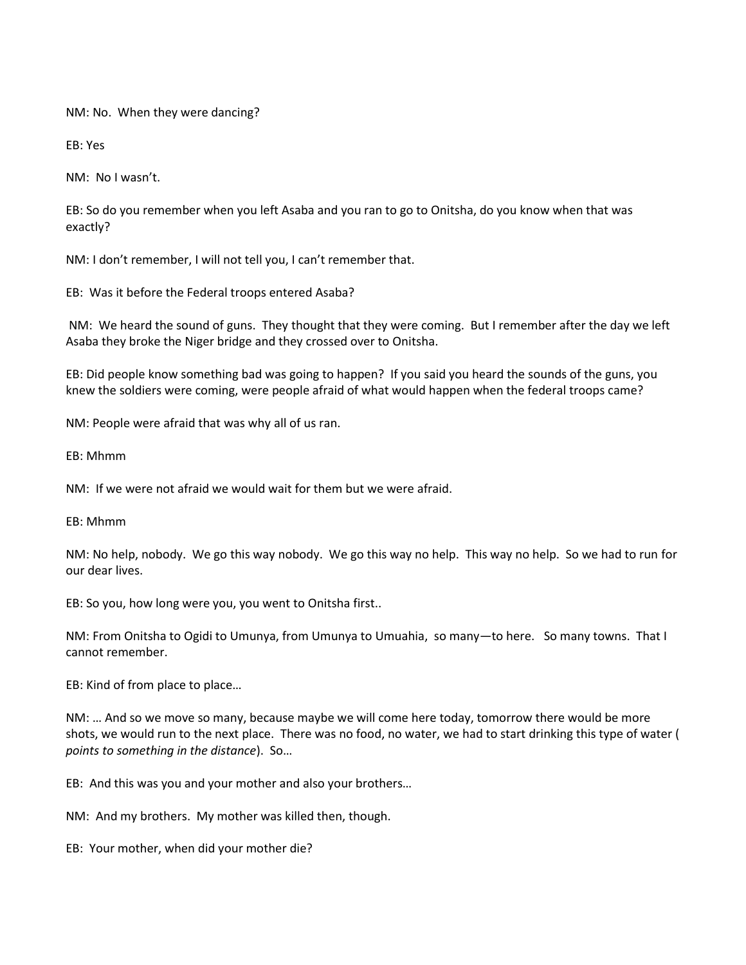NM: No. When they were dancing?

EB: Yes

NM: No I wasn't.

EB: So do you remember when you left Asaba and you ran to go to Onitsha, do you know when that was exactly?

NM: I don't remember, I will not tell you, I can't remember that.

EB: Was it before the Federal troops entered Asaba?

NM: We heard the sound of guns. They thought that they were coming. But I remember after the day we left Asaba they broke the Niger bridge and they crossed over to Onitsha.

EB: Did people know something bad was going to happen? If you said you heard the sounds of the guns, you knew the soldiers were coming, were people afraid of what would happen when the federal troops came?

NM: People were afraid that was why all of us ran.

EB: Mhmm

NM: If we were not afraid we would wait for them but we were afraid.

EB: Mhmm

NM: No help, nobody. We go this way nobody. We go this way no help. This way no help. So we had to run for our dear lives.

EB: So you, how long were you, you went to Onitsha first..

NM: From Onitsha to Ogidi to Umunya, from Umunya to Umuahia, so many—to here. So many towns. That I cannot remember.

EB: Kind of from place to place…

NM: … And so we move so many, because maybe we will come here today, tomorrow there would be more shots, we would run to the next place. There was no food, no water, we had to start drinking this type of water ( *points to something in the distance*). So…

EB: And this was you and your mother and also your brothers…

NM: And my brothers. My mother was killed then, though.

EB: Your mother, when did your mother die?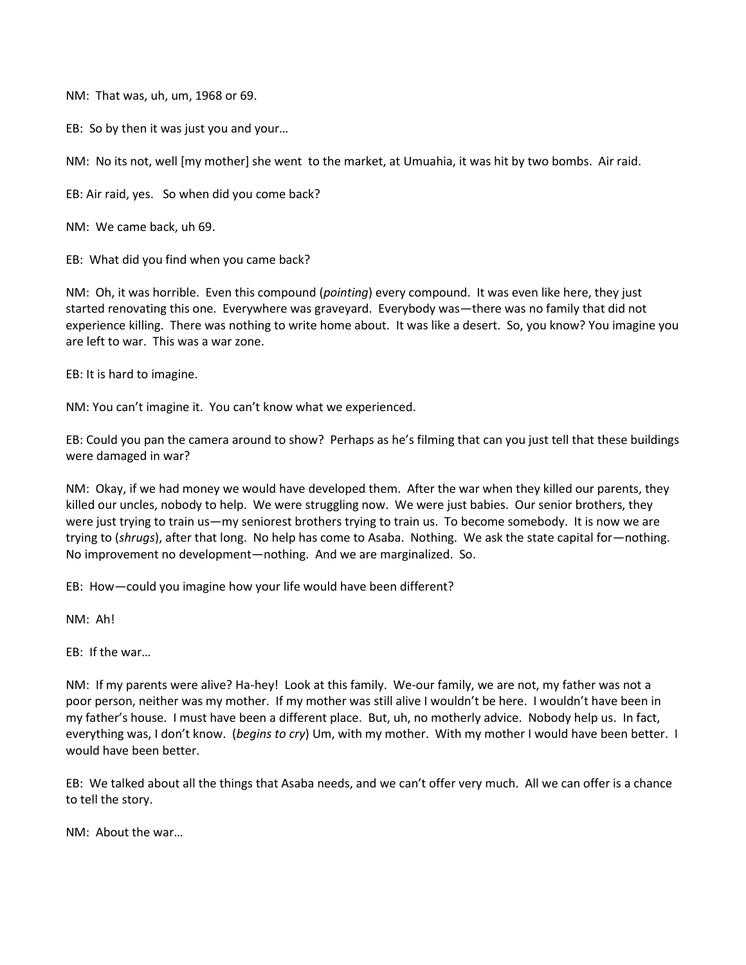NM: That was, uh, um, 1968 or 69.

EB: So by then it was just you and your…

NM: No its not, well [my mother] she went to the market, at Umuahia, it was hit by two bombs. Air raid.

EB: Air raid, yes. So when did you come back?

NM: We came back, uh 69.

EB: What did you find when you came back?

NM: Oh, it was horrible. Even this compound (*pointing*) every compound. It was even like here, they just started renovating this one. Everywhere was graveyard. Everybody was—there was no family that did not experience killing. There was nothing to write home about. It was like a desert. So, you know? You imagine you are left to war. This was a war zone.

EB: It is hard to imagine.

NM: You can't imagine it. You can't know what we experienced.

EB: Could you pan the camera around to show? Perhaps as he's filming that can you just tell that these buildings were damaged in war?

NM: Okay, if we had money we would have developed them. After the war when they killed our parents, they killed our uncles, nobody to help. We were struggling now. We were just babies. Our senior brothers, they were just trying to train us—my seniorest brothers trying to train us. To become somebody. It is now we are trying to (*shrugs*), after that long. No help has come to Asaba. Nothing. We ask the state capital for—nothing. No improvement no development—nothing. And we are marginalized. So.

EB: How—could you imagine how your life would have been different?

NM: Ah!

EB: If the war…

NM: If my parents were alive? Ha-hey! Look at this family. We-our family, we are not, my father was not a poor person, neither was my mother. If my mother was still alive I wouldn't be here. I wouldn't have been in my father's house. I must have been a different place. But, uh, no motherly advice. Nobody help us. In fact, everything was, I don't know. (*begins to cry*) Um, with my mother. With my mother I would have been better. I would have been better.

EB: We talked about all the things that Asaba needs, and we can't offer very much. All we can offer is a chance to tell the story.

NM: About the war…